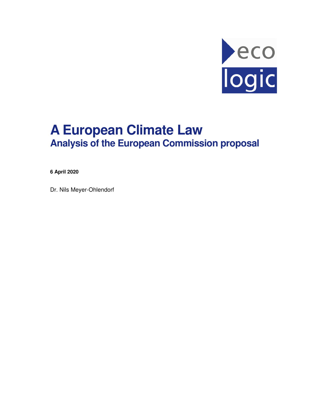

# **A European Climate Law Analysis of the European Commission proposal**

**6 April 2020** 

Dr. Nils Meyer-Ohlendorf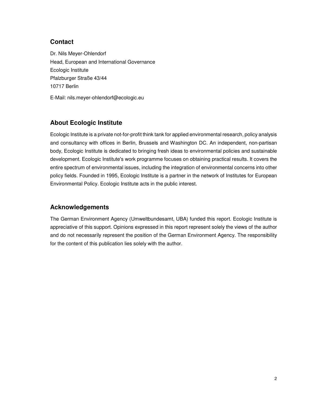## **Contact**

Dr. Nils Meyer-Ohlendorf Head, European and International Governance Ecologic Institute Pfalzburger Straße 43/44 10717 Berlin

E-Mail: nils.meyer-ohlendorf@ecologic.eu

## **About Ecologic Institute**

Ecologic Institute is a private not-for-profit think tank for applied environmental research, policy analysis and consultancy with offices in Berlin, Brussels and Washington DC. An independent, non-partisan body, Ecologic Institute is dedicated to bringing fresh ideas to environmental policies and sustainable development. Ecologic Institute's work programme focuses on obtaining practical results. It covers the entire spectrum of environmental issues, including the integration of environmental concerns into other policy fields. Founded in 1995, Ecologic Institute is a partner in the network of Institutes for European Environmental Policy. Ecologic Institute acts in the public interest.

### **Acknowledgements**

The German Environment Agency (Umweltbundesamt, UBA) funded this report. Ecologic Institute is appreciative of this support. Opinions expressed in this report represent solely the views of the author and do not necessarily represent the position of the German Environment Agency. The responsibility for the content of this publication lies solely with the author.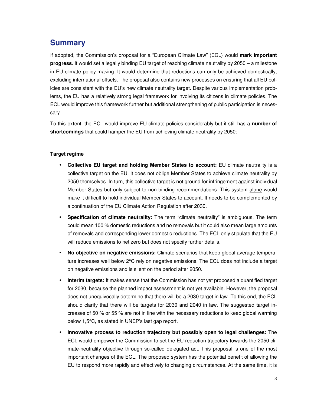## **Summary**

If adopted, the Commission's proposal for a "European Climate Law" (ECL) would **mark important progress**. It would set a legally binding EU target of reaching climate neutrality by 2050 – a milestone in EU climate policy making. It would determine that reductions can only be achieved domestically, excluding international offsets. The proposal also contains new processes on ensuring that all EU policies are consistent with the EU's new climate neutrality target. Despite various implementation problems, the EU has a relatively strong legal framework for involving its citizens in climate policies. The ECL would improve this framework further but additional strengthening of public participation is necessary.

To this extent, the ECL would improve EU climate policies considerably but it still has a **number of shortcomings** that could hamper the EU from achieving climate neutrality by 2050:

#### **Target regime**

- **Collective EU target and holding Member States to account:** EU climate neutrality is a collective target on the EU. It does not oblige Member States to achieve climate neutrality by 2050 themselves. In turn, this collective target is not ground for infringement against individual Member States but only subject to non-binding recommendations. This system alone would make it difficult to hold individual Member States to account. It needs to be complemented by a continuation of the EU Climate Action Regulation after 2030.
- **Specification of climate neutrality:** The term "climate neutrality" is ambiguous. The term could mean 100 % domestic reductions and no removals but it could also mean large amounts of removals and corresponding lower domestic reductions. The ECL only stipulate that the EU will reduce emissions to net zero but does not specify further details.
- **No objective on negative emissions:** Climate scenarios that keep global average temperature increases well below 2°C rely on negative emissions. The ECL does not include a target on negative emissions and is silent on the period after 2050.
- **Interim targets:** It makes sense that the Commission has not yet proposed a quantified target for 2030, because the planned impact assessment is not yet available. However, the proposal does not unequivocally determine that there will be a 2030 target in law. To this end, the ECL should clarify that there will be targets for 2030 and 2040 in law. The suggested target increases of 50 % or 55 % are not in line with the necessary reductions to keep global warming below 1,5°C, as stated in UNEP's last gap report.
- **Innovative process to reduction trajectory but possibly open to legal challenges:** The ECL would empower the Commission to set the EU reduction trajectory towards the 2050 climate-neutrality objective through so-called delegated act. This proposal is one of the most important changes of the ECL. The proposed system has the potential benefit of allowing the EU to respond more rapidly and effectively to changing circumstances. At the same time, it is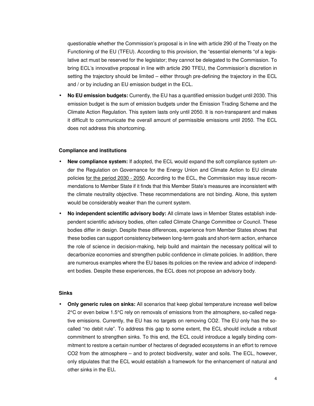questionable whether the Commission's proposal is in line with article 290 of the Treaty on the Functioning of the EU (TFEU). According to this provision, the "essential elements "of a legislative act must be reserved for the legislator; they cannot be delegated to the Commission. To bring ECL's innovative proposal in line with article 290 TFEU, the Commission's discretion in setting the trajectory should be limited – either through pre-defining the trajectory in the ECL and / or by including an EU emission budget in the ECL.

• **No EU emission budgets:** Currently, the EU has a quantified emission budget until 2030. This emission budget is the sum of emission budgets under the Emission Trading Scheme and the Climate Action Regulation. This system lasts only until 2050. It is non-transparent and makes it difficult to communicate the overall amount of permissible emissions until 2050. The ECL does not address this shortcoming.

#### **Compliance and institutions**

- **New compliance system:** If adopted, the ECL would expand the soft compliance system under the Regulation on Governance for the Energy Union and Climate Action to EU climate policies for the period 2030 - 2050. According to the ECL, the Commission may issue recommendations to Member State if it finds that this Member State's measures are inconsistent with the climate neutrality objective. These recommendations are not binding. Alone, this system would be considerably weaker than the current system.
- **No independent scientific advisory body:** All climate laws in Member States establish independent scientific advisory bodies, often called Climate Change Committee or Council. These bodies differ in design. Despite these differences, experience from Member States shows that these bodies can support consistency between long-term goals and short-term action, enhance the role of science in decision-making, help build and maintain the necessary political will to decarbonize economies and strengthen public confidence in climate policies. In addition, there are numerous examples where the EU bases its policies on the review and advice of independent bodies. Despite these experiences, the ECL does not propose an advisory body.

#### **Sinks**

• **Only generic rules on sinks:** All scenarios that keep global temperature increase well below 2°C or even below 1.5°C rely on removals of emissions from the atmosphere, so-called negative emissions. Currently, the EU has no targets on removing CO2. The EU only has the socalled "no debit rule". To address this gap to some extent, the ECL should include a robust commitment to strengthen sinks. To this end, the ECL could introduce a legally binding commitment to restore a certain number of hectares of degraded ecosystems in an effort to remove CO2 from the atmosphere – and to protect biodiversity, water and soils. The ECL, however, only stipulates that the ECL would establish a framework for the enhancement of natural and other sinks in the EU**.**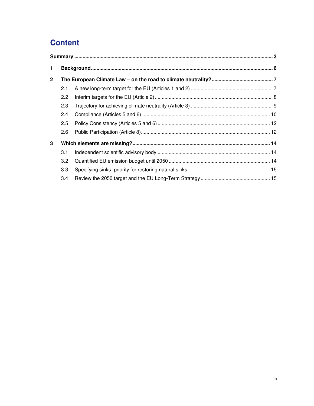## **Content**

| $\mathbf{1}$   |               |  |  |
|----------------|---------------|--|--|
| $\overline{2}$ |               |  |  |
|                | 2.1           |  |  |
|                | $2.2^{\circ}$ |  |  |
|                | 2.3           |  |  |
|                | 2.4           |  |  |
|                | 2.5           |  |  |
|                | 2.6           |  |  |
| 3              |               |  |  |
|                | 3.1           |  |  |
|                | 3.2           |  |  |
|                | 3.3           |  |  |
|                | 3.4           |  |  |
|                |               |  |  |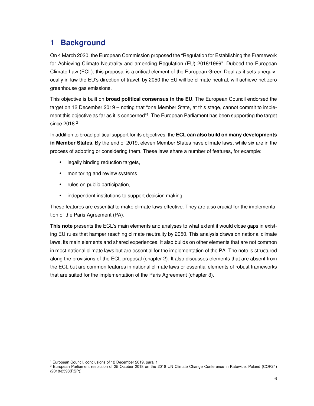## **1 Background**

On 4 March 2020, the European Commission proposed the "Regulation for Establishing the Framework for Achieving Climate Neutrality and amending Regulation (EU) 2018/1999". Dubbed the European Climate Law (ECL), this proposal is a critical element of the European Green Deal as it sets unequivocally in law the EU's direction of travel: by 2050 the EU will be climate neutral, will achieve net zero greenhouse gas emissions.

This objective is built on **broad political consensus in the EU**. The European Council endorsed the target on 12 December 2019 – noting that "one Member State, at this stage, cannot commit to implement this objective as far as it is concerned"<sup>1</sup> . The European Parliament has been supporting the target since 2018. $^2$ 

In addition to broad political support for its objectives, the **ECL can also build on many developments in Member States**. By the end of 2019, eleven Member States have climate laws, while six are in the process of adopting or considering them. These laws share a number of features, for example:

- legally binding reduction targets,
- monitoring and review systems
- rules on public participation,
- independent institutions to support decision making.

These features are essential to make climate laws effective. They are also crucial for the implementation of the Paris Agreement (PA).

**This note** presents the ECL's main elements and analyses to what extent it would close gaps in existing EU rules that hamper reaching climate neutrality by 2050. This analysis draws on national climate laws, its main elements and shared experiences. It also builds on other elements that are not common in most national climate laws but are essential for the implementation of the PA. The note is structured along the provisions of the ECL proposal (chapter 2). It also discusses elements that are absent from the ECL but are common features in national climate laws or essential elements of robust frameworks that are suited for the implementation of the Paris Agreement (chapter 3).

 $\overline{a}$ 

<sup>&</sup>lt;sup>1</sup> European Council, conclusions of 12 December 2019, para. 1

<sup>2</sup> European Parliament resolution of 25 October 2018 on the 2018 UN Climate Change Conference in Katowice, Poland (COP24) (2018/2598(RSP))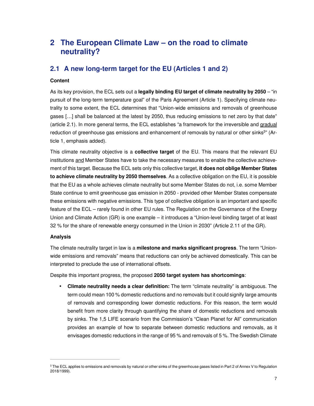## **2 The European Climate Law – on the road to climate neutrality?**

### **2.1 A new long-term target for the EU (Articles 1 and 2)**

#### **Content**

As its key provision, the ECL sets out a **legally binding EU target of climate neutrality by 2050** – "in pursuit of the long-term temperature goal" of the Paris Agreement (Article 1). Specifying climate neutrality to some extent, the ECL determines that "Union-wide emissions and removals of greenhouse gases […] shall be balanced at the latest by 2050, thus reducing emissions to net zero by that date" (article 2.1). In more general terms, the ECL establishes "a framework for the irreversible and gradual reduction of greenhouse gas emissions and enhancement of removals by natural or other sinks<sup>3</sup>" (Article 1, emphasis added).

This climate neutrality objective is a **collective target** of the EU. This means that the relevant EU institutions and Member States have to take the necessary measures to enable the collective achievement of this target. Because the ECL sets only this collective target, **it does not oblige Member States to achieve climate neutrality by 2050 themselves**. As a collective obligation on the EU, it is possible that the EU as a whole achieves climate neutrality but some Member States do not, i.e. some Member State continue to emit greenhouse gas emission in 2050 - provided other Member States compensate these emissions with negative emissions. This type of collective obligation is an important and specific feature of the ECL – rarely found in other EU rules. The Regulation on the Governance of the Energy Union and Climate Action (GR) is one example – it introduces a "Union-level binding target of at least 32 % for the share of renewable energy consumed in the Union in 2030" (Article 2.11 of the GR).

#### **Analysis**

 $\overline{a}$ 

The climate neutrality target in law is a **milestone and marks significant progress**. The term "Unionwide emissions and removals" means that reductions can only be achieved domestically. This can be interpreted to preclude the use of international offsets.

Despite this important progress, the proposed **2050 target system has shortcomings**:

• **Climate neutrality needs a clear definition:** The term "climate neutrality" is ambiguous. The term could mean 100 % domestic reductions and no removals but it could signify large amounts of removals and corresponding lower domestic reductions. For this reason, the term would benefit from more clarity through quantifying the share of domestic reductions and removals by sinks. The 1,5 LIFE scenario from the Commission's "Clean Planet for All" communication provides an example of how to separate between domestic reductions and removals, as it envisages domestic reductions in the range of 95 % and removals of 5 %. The Swedish Climate

 $^3$  The ECL applies to emissions and removals by natural or other sinks of the greenhouse gases listed in Part 2 of Annex V to Regulation 2018/1999).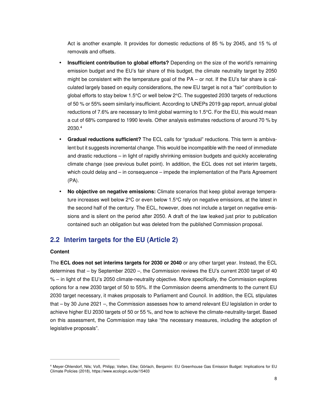Act is another example. It provides for domestic reductions of 85 % by 2045, and 15 % of removals and offsets.

- **Insufficient contribution to global efforts?** Depending on the size of the world's remaining emission budget and the EU's fair share of this budget, the climate neutrality target by 2050 might be consistent with the temperature goal of the  $PA - or$  not. If the EU's fair share is calculated largely based on equity considerations, the new EU target is not a "fair" contribution to global efforts to stay below 1.5°C or well below 2°C. The suggested 2030 targets of reductions of 50 % or 55% seem similarly insufficient. According to UNEPs 2019 gap report, annual global reductions of 7.6% are necessary to limit global warming to 1.5°C. For the EU, this would mean a cut of 68% compared to 1990 levels. Other analysis estimates reductions of around 70 % by 2030.<sup>4</sup>
- **Gradual reductions sufficient?** The ECL calls for "gradual" reductions. This term is ambivalent but it suggests incremental change. This would be incompatible with the need of immediate and drastic reductions – in light of rapidly shrinking emission budgets and quickly accelerating climate change (see previous bullet point). In addition, the ECL does not set interim targets, which could delay and – in consequence – impede the implementation of the Paris Agreement (PA).
- **No objective on negative emissions:** Climate scenarios that keep global average temperature increases well below 2°C or even below 1.5°C rely on negative emissions, at the latest in the second half of the century. The ECL, however, does not include a target on negative emissions and is silent on the period after 2050. A draft of the law leaked just prior to publication contained such an obligation but was deleted from the published Commission proposal.

### **2.2 Interim targets for the EU (Article 2)**

#### **Content**

 $\overline{a}$ 

The **ECL does not set interims targets for 2030 or 2040** or any other target year. Instead, the ECL determines that – by September 2020 –, the Commission reviews the EU's current 2030 target of 40 % – in light of the EU's 2050 climate-neutrality objective. More specifically, the Commission explores options for a new 2030 target of 50 to 55%. If the Commission deems amendments to the current EU 2030 target necessary, it makes proposals to Parliament and Council. In addition, the ECL stipulates that – by 30 June 2021 –, the Commission assesses how to amend relevant EU legislation in order to achieve higher EU 2030 targets of 50 or 55 %, and how to achieve the climate-neutrality-target. Based on this assessment, the Commission may take "the necessary measures, including the adoption of legislative proposals".

<sup>4</sup> Meyer-Ohlendorf, Nils; Voß, Philipp; Velten, Eike; Görlach, Benjamin: EU Greenhouse Gas Emission Budget: Implications for EU Climate Policies (2018), https://www.ecologic.eu/de/15403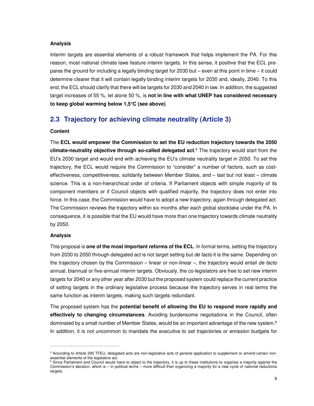#### **Analysis**

Interim targets are essential elements of a robust framework that helps implement the PA. For this reason, most national climate laws feature interim targets. In this sense, it positive that the ECL prepares the ground for including a legally binding target for 2030 but – even at this point in time – it could determine clearer that it will contain legally binding interim targets for 2030 and, ideally, 2040. To this end, the ECL should clarify that there will be targets for 2030 and 2040 in law. In addition, the suggested target increases of 55 %, let alone 50 %, is **not in line with what UNEP has considered necessary to keep global warming below 1,5°C (see above)**.

## **2.3 Trajectory for achieving climate neutrality (Article 3)**

#### **Content**

The **ECL would empower the Commission to set the EU reduction trajectory towards the 2050 climate-neutrality objective through so-called delegated act**. 5 The trajectory would start from the EU's 2030 target and would end with achieving the EU's climate neutrality target in 2050. To set this trajectory, the ECL would require the Commission to "consider" a number of factors, such as costeffectiveness, competitiveness, solidarity between Member States, and – last but not least – climate science. This is a non-hierarchical order of criteria. If Parliament objects with simple majority of its component members or if Council objects with qualified majority, the trajectory does not enter into force. In this case, the Commission would have to adopt a new trajectory, again through delegated act. The Commission reviews the trajectory within six months after each global stocktake under the PA. In consequence, it is possible that the EU would have more than one trajectory towards climate neutrality by 2050.

#### **Analysis**

 $\overline{a}$ 

This proposal is **one of the most important reforms of the ECL**. In formal terms, setting the trajectory from 2030 to 2050 through delegated act is not target setting but *de facto* it is the same. Depending on the trajectory chosen by the Commission – linear or non-linear  $-$ , the trajectory would entail de facto annual, biannual or five-annual interim targets. Obviously, the co-legislators are free to set new interim targets for 2040 or any other year after 2030 but the proposed system could replace the current practice of setting targets in the ordinary legislative process because the trajectory serves in real terms the same function as interim targets, making such targets redundant.

The proposed system has the **potential benefit of allowing the EU to respond more rapidly and effectively to changing circumstances**. Avoiding burdensome negotiations in the Council, often dominated by a small number of Member States, would be an important advantage of the new system.<sup>6</sup> In addition, it is not uncommon to mandate the executive to set trajectories or emission budgets for

<sup>5</sup> According to Article 290 TFEU, delegated acts are non-legislative acts of general application to supplement or amend certain nonessential elements of the legislative act.

<sup>&</sup>lt;sup>6</sup> Since Parliament and Council would have to object to the trajectory, it is up to these institutions to organise a majority against the Commission's decision, which is – in political terms – more difficult than organizing a majority for a new cycle of national reductions targets.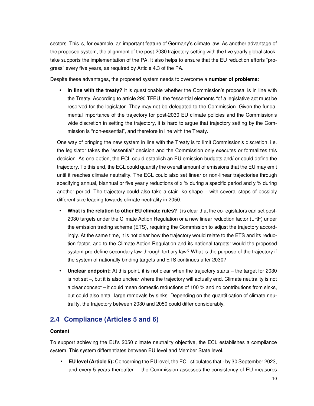sectors. This is, for example, an important feature of Germany's climate law. As another advantage of the proposed system, the alignment of the post-2030 trajectory-setting with the five yearly global stocktake supports the implementation of the PA. It also helps to ensure that the EU reduction efforts "progress" every five years, as required by Article 4.3 of the PA.

Despite these advantages, the proposed system needs to overcome a **number of problems**:

• **In line with the treaty?** It is questionable whether the Commission's proposal is in line with the Treaty. According to article 290 TFEU, the "essential elements "of a legislative act must be reserved for the legislator. They may not be delegated to the Commission. Given the fundamental importance of the trajectory for post-2030 EU climate policies and the Commission's wide discretion in setting the trajectory, it is hard to argue that trajectory setting by the Commission is "non-essential", and therefore in line with the Treaty.

One way of bringing the new system in line with the Treaty is to limit Commission's discretion, i.e. the legislator takes the "essential" decision and the Commission only executes or formalizes this decision. As one option, the ECL could establish an EU emission budgets and/ or could define the trajectory. To this end, the ECL could quantify the overall amount of emissions that the EU may emit until it reaches climate neutrality. The ECL could also set linear or non-linear trajectories through specifying annual, biannual or five yearly reductions of x % during a specific period and y % during another period. The trajectory could also take a stair-like shape – with several steps of possibly different size leading towards climate neutrality in 2050.

- **What is the relation to other EU climate rules?** It is clear that the co-legislators can set post-2030 targets under the Climate Action Regulation or a new linear reduction factor (LRF) under the emission trading scheme (ETS), requiring the Commission to adjust the trajectory accordingly. At the same time, it is not clear how the trajectory would relate to the ETS and its reduction factor, and to the Climate Action Regulation and its national targets: would the proposed system pre-define secondary law through tertiary law? What is the purpose of the trajectory if the system of nationally binding targets and ETS continues after 2030?
- **Unclear endpoint:** At this point, it is not clear when the trajectory starts the target for 2030 is not set –, but it is also unclear where the trajectory will actually end. Climate neutrality is not a clear concept – it could mean domestic reductions of 100 % and no contributions from sinks, but could also entail large removals by sinks. Depending on the quantification of climate neutrality, the trajectory between 2030 and 2050 could differ considerably.

## **2.4 Compliance (Articles 5 and 6)**

#### **Content**

To support achieving the EU's 2050 climate neutrality objective, the ECL establishes a compliance system. This system differentiates between EU level and Member State level.

• **EU level (Article 5):** Concerning the EU level, the ECL stipulates that - by 30 September 2023, and every 5 years thereafter –, the Commission assesses the consistency of EU measures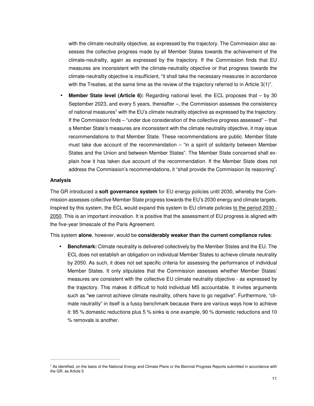with the climate-neutrality objective, as expressed by the trajectory. The Commission also assesses the collective progress made by all Member States towards the achievement of the climate-neutrality, again as expressed by the trajectory. If the Commission finds that EU measures are inconsistent with the climate-neutrality objective or that progress towards the climate-neutrality objective is insufficient, "it shall take the necessary measures in accordance with the Treaties, at the same time as the review of the trajectory referred to in Article 3(1)".

• **Member State level (Article 6):** Regarding national level, the ECL proposes that – by 30 September 2023, and every 5 years, thereafter –, the Commission assesses the consistency of national measures<sup>7</sup> with the EU's climate neutrality objective as expressed by the trajectory. If the Commission finds – "under due consideration of the collective progress assessed" – that a Member State's measures are inconsistent with the climate neutrality objective, it may issue recommendations to that Member State. These recommendations are public. Member State must take due account of the recommendation  $-$  "in a spirit of solidarity between Member States and the Union and between Member States". The Member State concerned shall explain how it has taken due account of the recommendation. If the Member State does not address the Commission's recommendations, it "shall provide the Commission its reasoning".

#### **Analysis**

 $\overline{a}$ 

The GR introduced a **soft governance system** for EU energy policies until 2030, whereby the Commission assesses collective Member State progress towards the EU's 2030 energy and climate targets. Inspired by this system, the ECL would expand this system to EU climate policies to the period 2030 -2050. This is an important innovation. It is positive that the assessment of EU progress is aligned with the five-year timescale of the Paris Agreement.

This system **alone**, however, would be **considerably weaker than the current compliance rules**:

• **Benchmark:** Climate neutrality is delivered collectively by the Member States and the EU. The ECL does not establish an obligation on individual Member States to achieve climate neutrality by 2050. As such, it does not set specific criteria for assessing the performance of individual Member States. It only stipulates that the Commission assesses whether Member States' measures are consistent with the collective EU climate neutrality objective - as expressed by the trajectory. This makes it difficult to hold individual MS accountable. It invites arguments such as "we cannot achieve climate neutrality, others have to go negative". Furthermore, "climate neutrality" in itself is a fussy benchmark because there are various ways how to achieve it: 95 % domestic reductions plus 5 % sinks is one example, 90 % domestic reductions and 10 % removals is another.

<sup>&</sup>lt;sup>7</sup> As identified, on the basis of the National Energy and Climate Plans or the Biennial Progress Reports submitted in accordance with the GR, as Article 5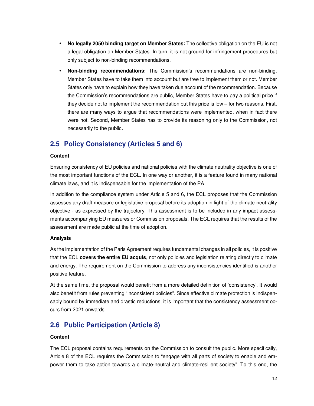- **No legally 2050 binding target on Member States:** The collective obligation on the EU is not a legal obligation on Member States. In turn, it is not ground for infringement procedures but only subject to non-binding recommendations.
- **Non-binding recommendations:** The Commission's recommendations are non-binding. Member States have to take them into account but are free to implement them or not. Member States only have to explain how they have taken due account of the recommendation. Because the Commission's recommendations are public, Member States have to pay a political price if they decide not to implement the recommendation but this price is low – for two reasons. First, there are many ways to argue that recommendations were implemented, when in fact there were not. Second, Member States has to provide its reasoning only to the Commission, not necessarily to the public.

## **2.5 Policy Consistency (Articles 5 and 6)**

#### **Content**

Ensuring consistency of EU policies and national policies with the climate neutrality objective is one of the most important functions of the ECL. In one way or another, it is a feature found in many national climate laws, and it is indispensable for the implementation of the PA:

In addition to the compliance system under Article 5 and 6, the ECL proposes that the Commission assesses any draft measure or legislative proposal before its adoption in light of the climate-neutrality objective - as expressed by the trajectory. This assessment is to be included in any impact assessments accompanying EU measures or Commission proposals. The ECL requires that the results of the assessment are made public at the time of adoption.

#### **Analysis**

As the implementation of the Paris Agreement requires fundamental changes in all policies, it is positive that the ECL **covers the entire EU acquis**, not only policies and legislation relating directly to climate and energy. The requirement on the Commission to address any inconsistencies identified is another positive feature.

At the same time, the proposal would benefit from a more detailed definition of 'consistency'. It would also benefit from rules preventing "inconsistent policies". Since effective climate protection is indispensably bound by immediate and drastic reductions, it is important that the consistency assessment occurs from 2021 onwards.

## **2.6 Public Participation (Article 8)**

#### **Content**

The ECL proposal contains requirements on the Commission to consult the public. More specifically, Article 8 of the ECL requires the Commission to "engage with all parts of society to enable and empower them to take action towards a climate-neutral and climate-resilient society". To this end, the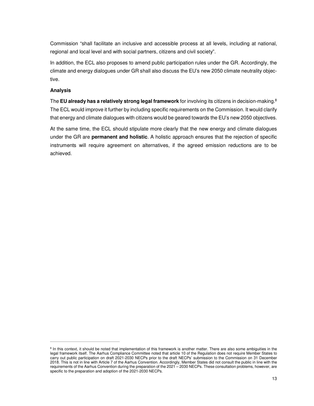Commission "shall facilitate an inclusive and accessible process at all levels, including at national, regional and local level and with social partners, citizens and civil society".

In addition, the ECL also proposes to amend public participation rules under the GR. Accordingly, the climate and energy dialogues under GR shall also discuss the EU's new 2050 climate neutrality objective.

#### **Analysis**

 $\overline{a}$ 

The **EU already has a relatively strong legal framework** for involving its citizens in decision-making.<sup>8</sup> The ECL would improve it further by including specific requirements on the Commission. It would clarify that energy and climate dialogues with citizens would be geared towards the EU's new 2050 objectives.

At the same time, the ECL should stipulate more clearly that the new energy and climate dialogues under the GR are **permanent and holistic**. A holistic approach ensures that the rejection of specific instruments will require agreement on alternatives, if the agreed emission reductions are to be achieved.

<sup>&</sup>lt;sup>8</sup> In this context, it should be noted that implementation of this framework is another matter. There are also some ambiguities in the legal framework itself. The Aarhus Compliance Committee noted that article 10 of the Regulation does not require Member States to carry out public participation on draft 2021-2030 NECPs prior to the draft NECPs' submission to the Commission on 31 December 2018. This is not in line with Article 7 of the Aarhus Convention. Accordingly, Member States did not consult the public in line with the requirements of the Aarhus Convention during the preparation of the 2021 – 2030 NECPs. These consultation problems, however, are specific to the preparation and adoption of the 2021-2030 NECPs.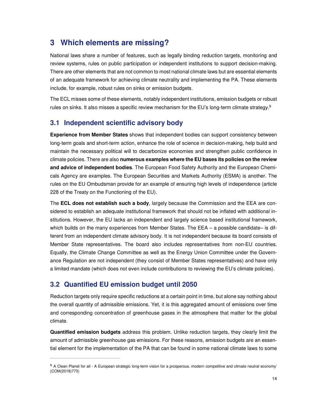## **3 Which elements are missing?**

National laws share a number of features, such as legally binding reduction targets, monitoring and review systems, rules on public participation or independent institutions to support decision-making. There are other elements that are not common to most national climate laws but are essential elements of an adequate framework for achieving climate neutrality and implementing the PA. These elements include, for example, robust rules on sinks or emission budgets.

The ECL misses some of these elements, notably independent institutions, emission budgets or robust rules on sinks. It also misses a specific review mechanism for the EU's long-term climate strategy.<sup>9</sup>

### **3.1 Independent scientific advisory body**

**Experience from Member States** shows that independent bodies can support consistency between long-term goals and short-term action, enhance the role of science in decision-making, help build and maintain the necessary political will to decarbonize economies and strengthen public confidence in climate policies. There are also **numerous examples where the EU bases its policies on the review and advice of independent bodies**. The European Food Safety Authority and the European Chemicals Agency are examples. The European Securities and Markets Authority (ESMA) is another. The rules on the EU Ombudsman provide for an example of ensuring high levels of independence (article 228 of the Treaty on the Functioning of the EU).

The **ECL does not establish such a body**, largely because the Commission and the EEA are considered to establish an adequate institutional framework that should not be inflated with additional institutions. However, the EU lacks an independent and largely science based institutional framework, which builds on the many experiences from Member States. The EEA – a possible candidate– is different from an independent climate advisory body. It is not independent because its board consists of Member State representatives. The board also includes representatives from non-EU countries. Equally, the Climate Change Committee as well as the Energy Union Committee under the Governance Regulation are not independent (they consist of Member States representatives) and have only a limited mandate (which does not even include contributions to reviewing the EU's climate policies).

## **3.2 Quantified EU emission budget until 2050**

 $\overline{a}$ 

Reduction targets only require specific reductions at a certain point in time, but alone say nothing about the overall quantity of admissible emissions. Yet, it is this aggregated amount of emissions over time and corresponding concentration of greenhouse gases in the atmosphere that matter for the global climate.

**Quantified emission budgets** address this problem. Unlike reduction targets, they clearly limit the amount of admissible greenhouse gas emissions. For these reasons, emission budgets are an essential element for the implementation of the PA that can be found in some national climate laws to some

<sup>9</sup> A Clean Planet for all - A European strategic long-term vision for a prosperous, modern competitive and climate neutral economy' (COM(2018)773)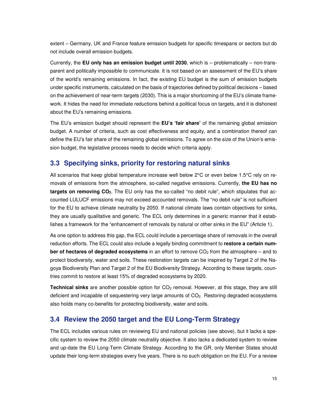extent – Germany, UK and France feature emission budgets for specific timespans or sectors but do not include overall emission budgets.

Currently, the **EU only has an emission budget until 2030**, which is – problematically – non-transparent and politically impossible to communicate. It is not based on an assessment of the EU's share of the world's remaining emissions. In fact, the existing EU budget is the sum of emission budgets under specific instruments, calculated on the basis of trajectories defined by political decisions – based on the achievement of near-term targets (2030). This is a major shortcoming of the EU's climate framework. It hides the need for immediate reductions behind a political focus on targets, and it is dishonest about the EU's remaining emissions.

The EU's emission budget should represent the **EU's 'fair share'** of the remaining global emission budget. A number of criteria, such as cost effectiveness and equity, and a combination thereof can define the EU's fair share of the remaining global emissions. To agree on the size of the Union's emission budget, the legislative process needs to decide which criteria apply.

## **3.3 Specifying sinks, priority for restoring natural sinks**

All scenarios that keep global temperature increase well below 2°C or even below 1.5°C rely on removals of emissions from the atmosphere, so-called negative emissions. Currently, **the EU has no targets on removing CO2**. The EU only has the so-called "no debit rule", which stipulates that accounted LULUCF emissions may not exceed accounted removals. The "no debit rule" is not sufficient for the EU to achieve climate neutrality by 2050. If national climate laws contain objectives for sinks, they are usually qualitative and generic. The ECL only determines in a generic manner that it establishes a framework for the "enhancement of removals by natural or other sinks in the EU" (Article 1).

As one option to address this gap, the ECL could include a percentage share of removals in the overall reduction efforts. The ECL could also include a legally binding commitment to **restore a certain number of hectares of degraded ecosystems** in an effort to remove CO<sub>2</sub> from the atmosphere – and to protect biodiversity, water and soils. These restoration targets can be inspired by Target 2 of the Nagoya Biodiversity Plan and Target 2 of the EU Biodiversity Strategy. According to these targets, countries commit to restore at least 15% of degraded ecosystems by 2020.

**Technical sinks** are another possible option for CO<sub>2</sub> removal. However, at this stage, they are still deficient and incapable of sequestering very large amounts of CO<sub>2</sub>. Restoring degraded ecosystems also holds many co-benefits for protecting biodiversity, water and soils.

## **3.4 Review the 2050 target and the EU Long-Term Strategy**

The ECL includes various rules on reviewing EU and national policies (see above), but it lacks a specific system to review the 2050 climate neutrality objective. It also lacks a dedicated system to review and up-date the EU Long-Term Climate Strategy. According to the GR, only Member States should update their long-term strategies every five years. There is no such obligation on the EU. For a review